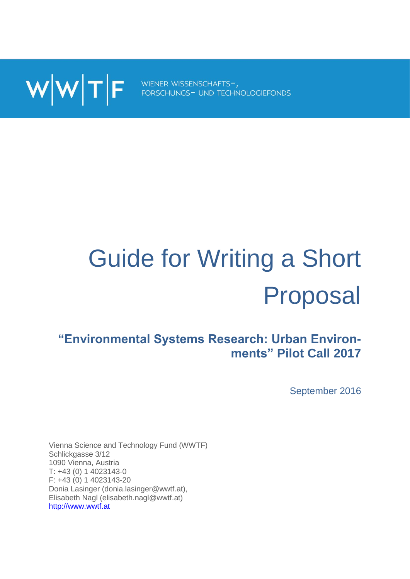

# Guide for Writing a Short Proposal

# **"Environmental Systems Research: Urban Environments" Pilot Call 2017**

September 2016

Vienna Science and Technology Fund (WWTF) Schlickgasse 3/12 1090 Vienna, Austria T: +43 (0) 1 4023143-0 F: +43 (0) 1 4023143-20 Donia Lasinger (donia.lasinger@wwtf.at), Elisabeth Nagl (elisabeth.nagl@wwtf.at) [http://www.wwtf.at](http://www.wwtf.at/)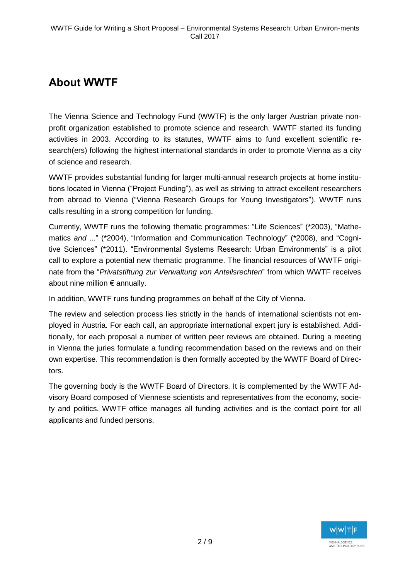# **About WWTF**

The Vienna Science and Technology Fund (WWTF) is the only larger Austrian private nonprofit organization established to promote science and research. WWTF started its funding activities in 2003. According to its statutes, WWTF aims to fund excellent scientific research(ers) following the highest international standards in order to promote Vienna as a city of science and research.

WWTF provides substantial funding for larger multi-annual research projects at home institutions located in Vienna ("Project Funding"), as well as striving to attract excellent researchers from abroad to Vienna ("Vienna Research Groups for Young Investigators"). WWTF runs calls resulting in a strong competition for funding.

Currently, WWTF runs the following thematic programmes: "Life Sciences" (\*2003), "Mathematics *and* ..." (\*2004), "Information and Communication Technology" (\*2008), and "Cognitive Sciences" (\*2011). "Environmental Systems Research: Urban Environments" is a pilot call to explore a potential new thematic programme. The financial resources of WWTF originate from the "*Privatstiftung zur Verwaltung von Anteilsrechten*" from which WWTF receives about nine million € annually.

In addition, WWTF runs funding programmes on behalf of the City of Vienna.

The review and selection process lies strictly in the hands of international scientists not employed in Austria. For each call, an appropriate international expert jury is established. Additionally, for each proposal a number of written peer reviews are obtained. During a meeting in Vienna the juries formulate a funding recommendation based on the reviews and on their own expertise. This recommendation is then formally accepted by the WWTF Board of Directors.

The governing body is the WWTF Board of Directors. It is complemented by the WWTF Advisory Board composed of Viennese scientists and representatives from the economy, society and politics. WWTF office manages all funding activities and is the contact point for all applicants and funded persons.

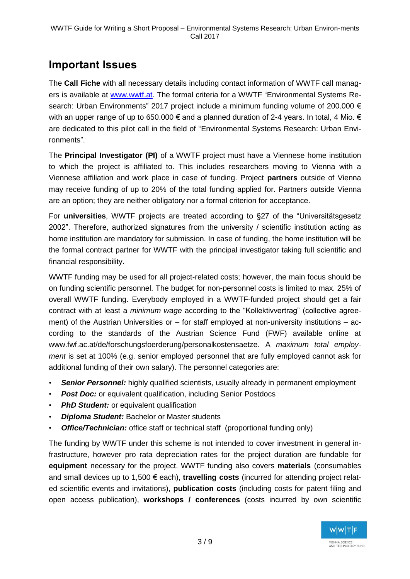## **Important Issues**

The **Call Fiche** with all necessary details including contact information of WWTF call managers is available at [www.wwtf.at.](http://www.wwtf.at/) The formal criteria for a WWTF "Environmental Systems Research: Urban Environments" 2017 project include a minimum funding volume of 200.000 € with an upper range of up to 650.000  $\epsilon$  and a planned duration of 2-4 years. In total, 4 Mio.  $\epsilon$ are dedicated to this pilot call in the field of "Environmental Systems Research: Urban Environments".

The **Principal Investigator (PI)** of a WWTF project must have a Viennese home institution to which the project is affiliated to. This includes researchers moving to Vienna with a Viennese affiliation and work place in case of funding. Project **partners** outside of Vienna may receive funding of up to 20% of the total funding applied for. Partners outside Vienna are an option; they are neither obligatory nor a formal criterion for acceptance.

For **universities**, WWTF projects are treated according to §27 of the "Universitätsgesetz 2002". Therefore, authorized signatures from the university / scientific institution acting as home institution are mandatory for submission. In case of funding, the home institution will be the formal contract partner for WWTF with the principal investigator taking full scientific and financial responsibility.

WWTF funding may be used for all project-related costs; however, the main focus should be on funding scientific personnel. The budget for non-personnel costs is limited to max. 25% of overall WWTF funding. Everybody employed in a WWTF-funded project should get a fair contract with at least a *minimum wage* according to the "Kollektivvertrag" (collective agreement) of the Austrian Universities or – for staff employed at non-university institutions – according to the standards of the Austrian Science Fund (FWF) available online at www.fwf.ac.at/de/forschungsfoerderung/personalkostensaetze. A *maximum total employment* is set at 100% (e.g. senior employed personnel that are fully employed cannot ask for additional funding of their own salary). The personnel categories are:

- *Senior Personnel:* highly qualified scientists, usually already in permanent employment
- *Post Doc:* or equivalent qualification, including Senior Postdocs
- **PhD Student:** or equivalent qualification
- *Diploma Student:* Bachelor or Master students
- *Office/Technician:* office staff or technical staff (proportional funding only)

The funding by WWTF under this scheme is not intended to cover investment in general infrastructure, however pro rata depreciation rates for the project duration are fundable for **equipment** necessary for the project. WWTF funding also covers **materials** (consumables and small devices up to 1,500 € each), **travelling costs** (incurred for attending project related scientific events and invitations), **publication costs** (including costs for patent filing and open access publication), **workshops / conferences** (costs incurred by own scientific

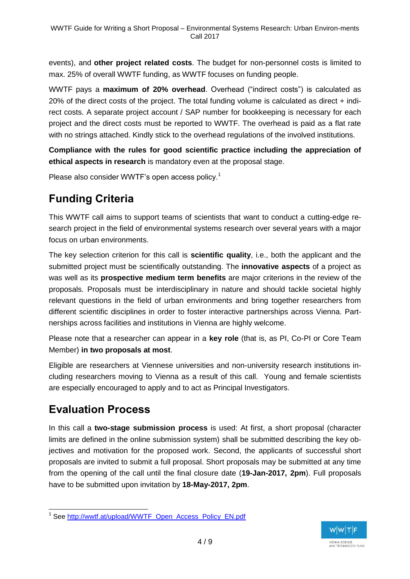events), and **other project related costs**. The budget for non-personnel costs is limited to max. 25% of overall WWTF funding, as WWTF focuses on funding people.

WWTF pays a **maximum of 20% overhead**. Overhead ("indirect costs") is calculated as 20% of the direct costs of the project. The total funding volume is calculated as direct + indirect costs. A separate project account / SAP number for bookkeeping is necessary for each project and the direct costs must be reported to WWTF. The overhead is paid as a flat rate with no strings attached. Kindly stick to the overhead regulations of the involved institutions.

**Compliance with the rules for good scientific practice including the appreciation of ethical aspects in research** is mandatory even at the proposal stage.

Please also consider WWTF's open access policy.<sup>1</sup>

# **Funding Criteria**

This WWTF call aims to support teams of scientists that want to conduct a cutting-edge research project in the field of environmental systems research over several years with a major focus on urban environments.

The key selection criterion for this call is **scientific quality**, i.e., both the applicant and the submitted project must be scientifically outstanding. The **innovative aspects** of a project as was well as its **prospective medium term benefits** are major criterions in the review of the proposals. Proposals must be interdisciplinary in nature and should tackle societal highly relevant questions in the field of urban environments and bring together researchers from different scientific disciplines in order to foster interactive partnerships across Vienna. Partnerships across facilities and institutions in Vienna are highly welcome.

Please note that a researcher can appear in a **key role** (that is, as PI, Co-PI or Core Team Member) **in two proposals at most**.

Eligible are researchers at Viennese universities and non-university research institutions including researchers moving to Vienna as a result of this call. Young and female scientists are especially encouraged to apply and to act as Principal Investigators.

# **Evaluation Process**

In this call a **two-stage submission process** is used: At first, a short proposal (character limits are defined in the online submission system) shall be submitted describing the key objectives and motivation for the proposed work. Second, the applicants of successful short proposals are invited to submit a full proposal. Short proposals may be submitted at any time from the opening of the call until the final closure date (**19-Jan-2017, 2pm**). Full proposals have to be submitted upon invitation by **18-May-2017, 2pm**.



 <sup>1</sup> See [http://wwtf.at/upload/WWTF\\_Open\\_Access\\_Policy\\_EN.pdf](http://wwtf.at/upload/WWTF_Open_Access_Policy_EN.pdf)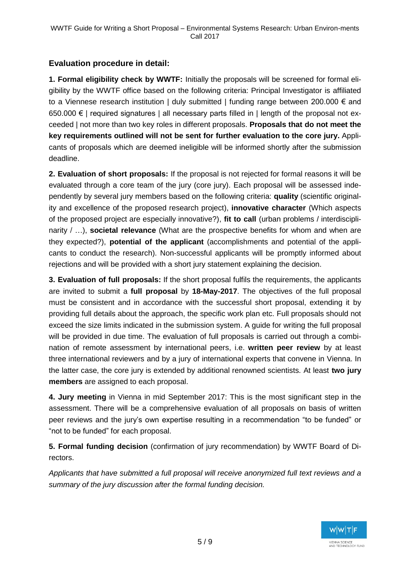#### **Evaluation procedure in detail:**

**1. Formal eligibility check by WWTF:** Initially the proposals will be screened for formal eligibility by the WWTF office based on the following criteria: Principal Investigator is affiliated to a Viennese research institution | duly submitted | funding range between 200.000  $\epsilon$  and 650.000 € | required signatures | all necessary parts filled in | length of the proposal not exceeded | not more than two key roles in different proposals. **Proposals that do not meet the key requirements outlined will not be sent for further evaluation to the core jury.** Applicants of proposals which are deemed ineligible will be informed shortly after the submission deadline.

**2. Evaluation of short proposals:** If the proposal is not rejected for formal reasons it will be evaluated through a core team of the jury (core jury). Each proposal will be assessed independently by several jury members based on the following criteria: **quality** (scientific originality and excellence of the proposed research project), **innovative character** (Which aspects of the proposed project are especially innovative?), **fit to call** (urban problems / interdisciplinarity / …), **societal relevance** (What are the prospective benefits for whom and when are they expected?), **potential of the applicant** (accomplishments and potential of the applicants to conduct the research). Non-successful applicants will be promptly informed about rejections and will be provided with a short jury statement explaining the decision.

**3. Evaluation of full proposals:** If the short proposal fulfils the requirements, the applicants are invited to submit a **full proposal** by **18-May-2017**. The objectives of the full proposal must be consistent and in accordance with the successful short proposal, extending it by providing full details about the approach, the specific work plan etc. Full proposals should not exceed the size limits indicated in the submission system. A guide for writing the full proposal will be provided in due time. The evaluation of full proposals is carried out through a combination of remote assessment by international peers, i.e. **written peer review** by at least three international reviewers and by a jury of international experts that convene in Vienna. In the latter case, the core jury is extended by additional renowned scientists. At least **two jury members** are assigned to each proposal.

**4. Jury meeting** in Vienna in mid September 2017: This is the most significant step in the assessment. There will be a comprehensive evaluation of all proposals on basis of written peer reviews and the jury's own expertise resulting in a recommendation "to be funded" or "not to be funded" for each proposal.

**5. Formal funding decision** (confirmation of jury recommendation) by WWTF Board of Directors.

*Applicants that have submitted a full proposal will receive anonymized full text reviews and a summary of the jury discussion after the formal funding decision.*

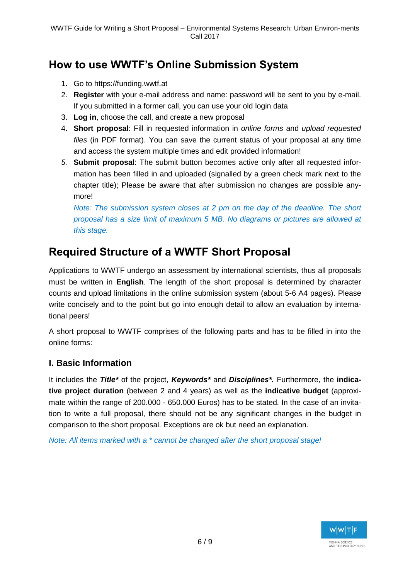# **How to use WWTF's Online Submission System**

- 1. Go to https://funding.wwtf.at
- 2. **Register** with your e-mail address and name: password will be sent to you by e-mail. If you submitted in a former call, you can use your old login data
- 3. **Log in**, choose the call, and create a new proposal
- 4. **Short proposal**: Fill in requested information in *online forms* and *upload requested files* (in PDF format). You can save the current status of your proposal at any time and access the system multiple times and edit provided information!
- *5.* **Submit proposal**: The submit button becomes active only after all requested information has been filled in and uploaded (signalled by a green check mark next to the chapter title); Please be aware that after submission no changes are possible anymore!

*Note: The submission system closes at 2 pm on the day of the deadline. The short proposal has a size limit of maximum 5 MB. No diagrams or pictures are allowed at this stage.*

# **Required Structure of a WWTF Short Proposal**

Applications to WWTF undergo an assessment by international scientists, thus all proposals must be written in **English**. The length of the short proposal is determined by character counts and upload limitations in the online submission system (about 5-6 A4 pages). Please write concisely and to the point but go into enough detail to allow an evaluation by international peers!

A short proposal to WWTF comprises of the following parts and has to be filled in into the online forms:

#### **I. Basic Information**

It includes the *Title\** of the project, *Keywords\** and *Disciplines\*.* Furthermore, the **indicative project duration** (between 2 and 4 years) as well as the **indicative budget** (approximate within the range of 200.000 - 650.000 Euros) has to be stated. In the case of an invitation to write a full proposal, there should not be any significant changes in the budget in comparison to the short proposal. Exceptions are ok but need an explanation.

*Note: All items marked with a \* cannot be changed after the short proposal stage!*

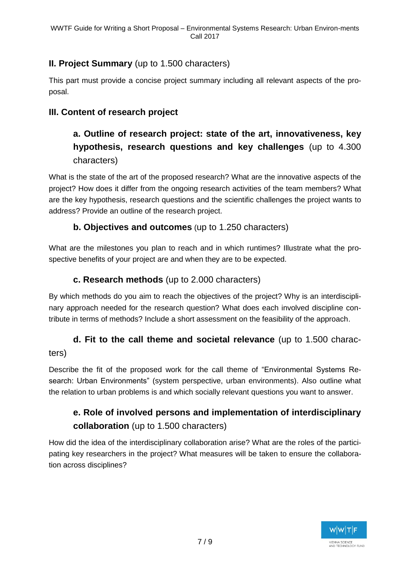#### **II. Project Summary** (up to 1.500 characters)

This part must provide a concise project summary including all relevant aspects of the proposal.

#### **III. Content of research project**

## **a. Outline of research project: state of the art, innovativeness, key hypothesis, research questions and key challenges** (up to 4.300 characters)

What is the state of the art of the proposed research? What are the innovative aspects of the project? How does it differ from the ongoing research activities of the team members? What are the key hypothesis, research questions and the scientific challenges the project wants to address? Provide an outline of the research project.

#### **b. Objectives and outcomes** (up to 1.250 characters)

What are the milestones you plan to reach and in which runtimes? Illustrate what the prospective benefits of your project are and when they are to be expected.

#### **c. Research methods** (up to 2.000 characters)

By which methods do you aim to reach the objectives of the project? Why is an interdisciplinary approach needed for the research question? What does each involved discipline contribute in terms of methods? Include a short assessment on the feasibility of the approach.

### **d. Fit to the call theme and societal relevance** (up to 1.500 characters)

Describe the fit of the proposed work for the call theme of "Environmental Systems Research: Urban Environments" (system perspective, urban environments). Also outline what the relation to urban problems is and which socially relevant questions you want to answer.

## **e. Role of involved persons and implementation of interdisciplinary collaboration** (up to 1.500 characters)

How did the idea of the interdisciplinary collaboration arise? What are the roles of the participating key researchers in the project? What measures will be taken to ensure the collaboration across disciplines?

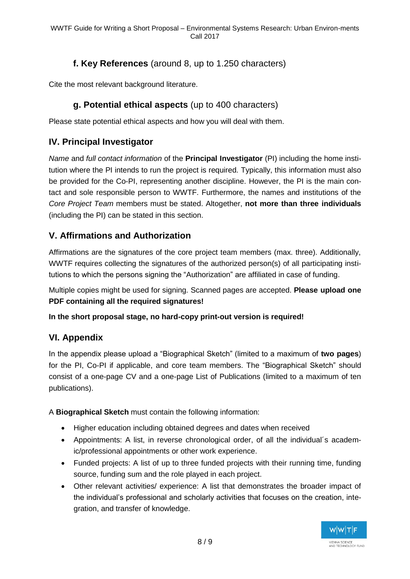#### **f. Key References** (around 8, up to 1.250 characters)

Cite the most relevant background literature.

#### **g. Potential ethical aspects** (up to 400 characters)

Please state potential ethical aspects and how you will deal with them.

#### **IV. Principal Investigator**

*Name* and *full contact information* of the **Principal Investigator** (PI) including the home institution where the PI intends to run the project is required. Typically, this information must also be provided for the Co-PI, representing another discipline. However, the PI is the main contact and sole responsible person to WWTF. Furthermore, the names and institutions of the *Core Project Team* members must be stated. Altogether, **not more than three individuals** (including the PI) can be stated in this section.

#### **V. Affirmations and Authorization**

Affirmations are the signatures of the core project team members (max. three). Additionally, WWTF requires collecting the signatures of the authorized person(s) of all participating institutions to which the persons signing the "Authorization" are affiliated in case of funding.

Multiple copies might be used for signing. Scanned pages are accepted. **Please upload one PDF containing all the required signatures!**

#### **In the short proposal stage, no hard-copy print-out version is required!**

#### **VI. Appendix**

In the appendix please upload a "Biographical Sketch" (limited to a maximum of **two pages**) for the PI, Co-PI if applicable, and core team members. The "Biographical Sketch" should consist of a one-page CV and a one-page List of Publications (limited to a maximum of ten publications).

A **Biographical Sketch** must contain the following information:

- Higher education including obtained degrees and dates when received
- Appointments: A list, in reverse chronological order, of all the individual´s academic/professional appointments or other work experience.
- Funded projects: A list of up to three funded projects with their running time, funding source, funding sum and the role played in each project.
- Other relevant activities/ experience: A list that demonstrates the broader impact of the individual's professional and scholarly activities that focuses on the creation, integration, and transfer of knowledge.